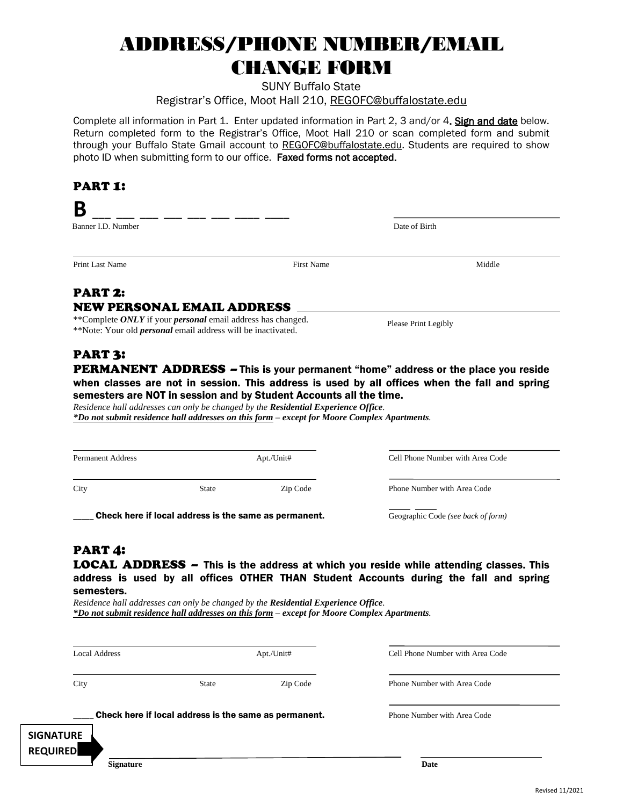## ADDRESS/PHONE NUMBER/EMAIL CHANGE FORM

SUNY Buffalo State

Registrar's Office, Moot Hall 210, REGOFC@buffalostate.edu

Complete all information in Part 1. Enter updated information in Part 2, 3 and/or 4. Sign and date below. Return completed form to the Registrar's Office, Moot Hall 210 or scan completed form and submit through your Buffalo State Gmail account to REGOFC@buffalostate.edu. Students are required to show photo ID when submitting form to our office. Faxed forms not accepted.

#### PART 1:

## **B** \_ \_ \_ \_ \_ \_ \_ \_

Banner I.D. Number Date of Birth Date of Birth Date of Birth Date of Birth Date of Birth Date of Birth Date of Birth Date of Birth Date of Birth Date of Birth Date of Birth Date of Birth Date of Birth Date of Birth Date of

Please Print Legibly

#### Print Last Name Middle

#### PART 2: NEW PERSONAL EMAIL ADDRESS

\*\*Complete *ONLY* if your *personal* email address has changed. \*\*Note: Your old *personal* email address will be inactivated.

### PART 3:

PERMANENT ADDRESS - This is your permanent "home" address or the place you reside when classes are not in session. This address is used by all offices when the fall and spring semesters are NOT in session and by Student Accounts all the time.

*Residence hall addresses can only be changed by the Residential Experience Office. \*Do not submit residence hall addresses on this form – except for Moore Complex Apartments.* 

| <b>Permanent Address</b> | Apt./Unit#                                            |          | Cell Phone Number with Area Code   |  |
|--------------------------|-------------------------------------------------------|----------|------------------------------------|--|
| City                     | <b>State</b>                                          | Zip Code | Phone Number with Area Code        |  |
|                          | Check here if local address is the same as permanent. |          | Geographic Code (see back of form) |  |

#### PART 4:

LOCAL ADDRESS – This is the address at which you reside while attending classes. This address is used by all offices OTHER THAN Student Accounts during the fall and spring semesters.

*Residence hall addresses can only be changed by the Residential Experience Office. \*Do not submit residence hall addresses on this form – except for Moore Complex Apartments.* 

| <b>Local Address</b>                                  |              | Apt./Unit# | Cell Phone Number with Area Code |  |
|-------------------------------------------------------|--------------|------------|----------------------------------|--|
| City                                                  | <b>State</b> | Zip Code   | Phone Number with Area Code      |  |
| Check here if local address is the same as permanent. |              |            | Phone Number with Area Code      |  |
| <b>SIGNATURE</b>                                      |              |            |                                  |  |
| <b>REQUIRED</b>                                       |              |            |                                  |  |
| <b>Signature</b>                                      |              |            | Date                             |  |